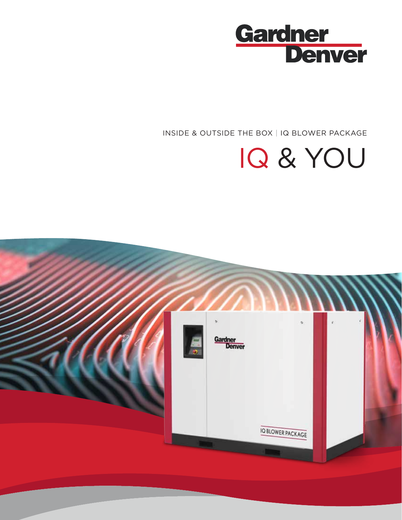

INSIDE & OUTSIDE THE BOX | IQ BLOWER PACKAGE

# IQ & YOU

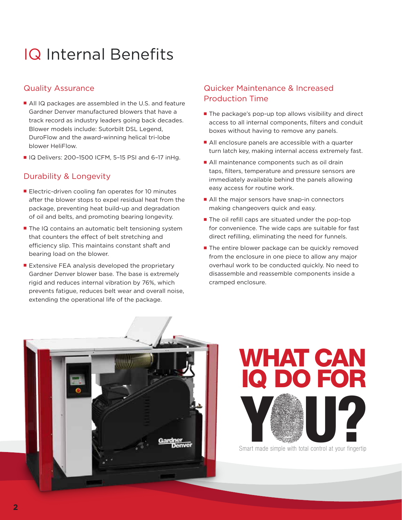### IQ Internal Benefits

#### Quality Assurance

- All IQ packages are assembled in the U.S. and feature Gardner Denver manufactured blowers that have a track record as industry leaders going back decades. Blower models include: Sutorbilt DSL Legend, DuroFlow and the award-winning helical tri-lobe blower HeliFlow.
- IQ Delivers: 200-1500 ICFM, 5-15 PSI and 6-17 inHg.

#### Durability & Longevity

- Electric-driven cooling fan operates for 10 minutes after the blower stops to expel residual heat from the package, preventing heat build-up and degradation of oil and belts, and promoting bearing longevity.
- The IQ contains an automatic belt tensioning system that counters the effect of belt stretching and efficiency slip. This maintains constant shaft and bearing load on the blower.
- Extensive FEA analysis developed the proprietary Gardner Denver blower base. The base is extremely rigid and reduces internal vibration by 76%, which prevents fatigue, reduces belt wear and overall noise, extending the operational life of the package.

#### Quicker Maintenance & Increased Production Time

- The package's pop-up top allows visibility and direct access to all internal components, filters and conduit boxes without having to remove any panels.
- All enclosure panels are accessible with a quarter turn latch key, making internal access extremely fast.
- All maintenance components such as oil drain taps, filters, temperature and pressure sensors are immediately available behind the panels allowing easy access for routine work.
- All the major sensors have snap-in connectors making changeovers quick and easy.
- The oil refill caps are situated under the pop-top for convenience. The wide caps are suitable for fast direct refilling, eliminating the need for funnels.
- The entire blower package can be quickly removed from the enclosure in one piece to allow any major overhaul work to be conducted quickly. No need to disassemble and reassemble components inside a cramped enclosure.



WHAT CAN IQ DO FOR Smart made simple with total control at your fingertip

Smart made simple with total control at your fingertip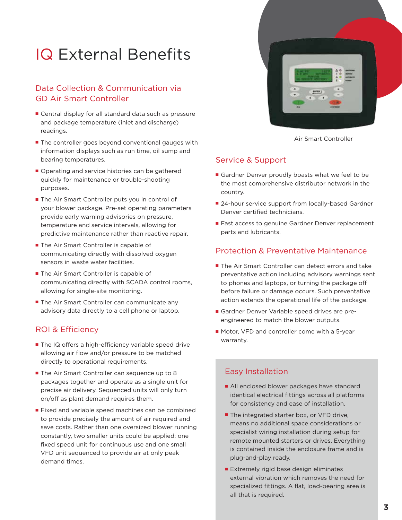### IQ External Benefits

#### Data Collection & Communication via GD Air Smart Controller

- Central display for all standard data such as pressure and package temperature (inlet and discharge) readings.
- The controller goes beyond conventional gauges with information displays such as run time, oil sump and bearing temperatures.
- Operating and service histories can be gathered quickly for maintenance or trouble-shooting purposes.
- The Air Smart Controller puts you in control of your blower package. Pre-set operating parameters provide early warning advisories on pressure, temperature and service intervals, allowing for predictive maintenance rather than reactive repair.
- The Air Smart Controller is capable of communicating directly with dissolved oxygen sensors in waste water facilities.
- The Air Smart Controller is capable of communicating directly with SCADA control rooms, allowing for single-site monitoring.
- The Air Smart Controller can communicate any advisory data directly to a cell phone or laptop.

#### ROI & Efficiency

- The IQ offers a high-efficiency variable speed drive allowing air flow and/or pressure to be matched directly to operational requirements.
- The Air Smart Controller can sequence up to 8 packages together and operate as a single unit for precise air delivery. Sequenced units will only turn on/off as plant demand requires them.
- Fixed and variable speed machines can be combined to provide precisely the amount of air required and save costs. Rather than one oversized blower running constantly, two smaller units could be applied: one fixed speed unit for continuous use and one small VFD unit sequenced to provide air at only peak demand times.



Air Smart Controller

#### Service & Support

- Gardner Denver proudly boasts what we feel to be the most comprehensive distributor network in the country.
- 24-hour service support from locally-based Gardner Denver certified technicians.
- Fast access to genuine Gardner Denver replacement parts and lubricants.

#### Protection & Preventative Maintenance

- The Air Smart Controller can detect errors and take preventative action including advisory warnings sent to phones and laptops, or turning the package off before failure or damage occurs. Such preventative action extends the operational life of the package.
- Gardner Denver Variable speed drives are preengineered to match the blower outputs.
- Motor, VFD and controller come with a 5-year warranty.

#### Easy Installation

- All enclosed blower packages have standard identical electrical fittings across all platforms for consistency and ease of installation.
- The integrated starter box, or VFD drive, means no additional space considerations or specialist wiring installation during setup for remote mounted starters or drives. Everything is contained inside the enclosure frame and is plug-and-play ready.
- Extremely rigid base design eliminates external vibration which removes the need for specialized fittings. A flat, load-bearing area is all that is required.